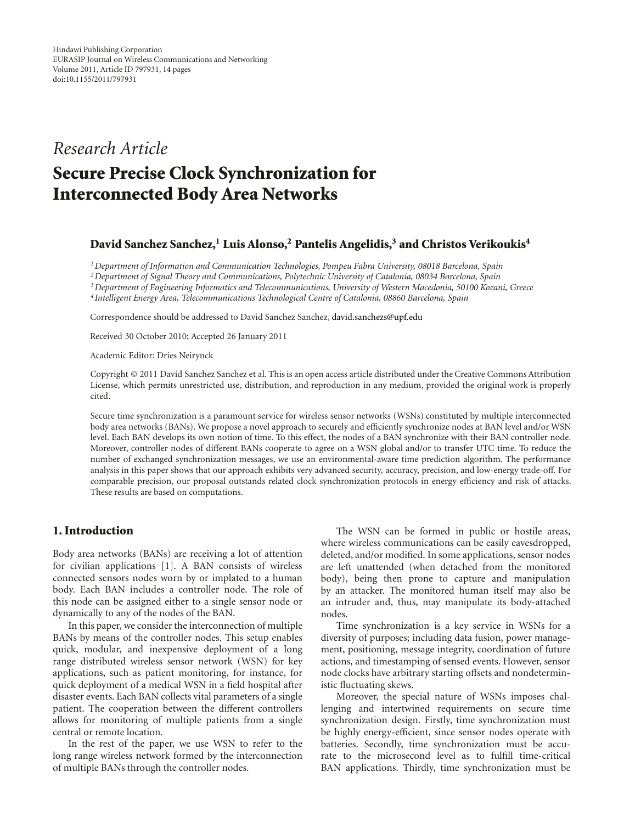# *Research Article*

# **Secure Precise Clock Synchronization for Interconnected Body Area Networks**

#### David Sanchez Sanchez,<sup>1</sup> Luis Alonso,<sup>2</sup> Pantelis Angelidis,<sup>3</sup> and Christos Verikoukis<sup>4</sup>

*1Department of Information and Communication Technologies, Pompeu Fabra University, 08018 Barcelona, Spain*

*2Department of Signal Theory and Communications, Polytechnic University of Catalonia, 08034 Barcelona, Spain*

*3Department of Engineering Informatics and Telecommunications, University of Western Macedonia, 50100 Kozani, Greece*

*<sup>4</sup> Intelligent Energy Area, Telecommunications Technological Centre of Catalonia, 08860 Barcelona, Spain*

Correspondence should be addressed to David Sanchez Sanchez, david.sanchezs@upf.edu

Received 30 October 2010; Accepted 26 January 2011

Academic Editor: Dries Neirynck

Copyright © 2011 David Sanchez Sanchez et al. This is an open access article distributed under the Creative Commons Attribution License, which permits unrestricted use, distribution, and reproduction in any medium, provided the original work is properly cited.

Secure time synchronization is a paramount service for wireless sensor networks (WSNs) constituted by multiple interconnected body area networks (BANs). We propose a novel approach to securely and efficiently synchronize nodes at BAN level and/or WSN level. Each BAN develops its own notion of time. To this effect, the nodes of a BAN synchronize with their BAN controller node. Moreover, controller nodes of different BANs cooperate to agree on a WSN global and/or to transfer UTC time. To reduce the number of exchanged synchronization messages, we use an environmental-aware time prediction algorithm. The performance analysis in this paper shows that our approach exhibits very advanced security, accuracy, precision, and low-energy trade-off. For comparable precision, our proposal outstands related clock synchronization protocols in energy efficiency and risk of attacks. These results are based on computations.

### **1. Introduction**

Body area networks (BANs) are receiving a lot of attention for civilian applications [1]. A BAN consists of wireless connected sensors nodes worn by or implated to a human body. Each BAN includes a controller node. The role of this node can be assigned either to a single sensor node or dynamically to any of the nodes of the BAN.

In this paper, we consider the interconnection of multiple BANs by means of the controller nodes. This setup enables quick, modular, and inexpensive deployment of a long range distributed wireless sensor network (WSN) for key applications, such as patient monitoring, for instance, for quick deployment of a medical WSN in a field hospital after disaster events. Each BAN collects vital parameters of a single patient. The cooperation between the different controllers allows for monitoring of multiple patients from a single central or remote location.

In the rest of the paper, we use WSN to refer to the long range wireless network formed by the interconnection of multiple BANs through the controller nodes.

The WSN can be formed in public or hostile areas, where wireless communications can be easily eavesdropped, deleted, and/or modified. In some applications, sensor nodes are left unattended (when detached from the monitored body), being then prone to capture and manipulation by an attacker. The monitored human itself may also be an intruder and, thus, may manipulate its body-attached nodes.

Time synchronization is a key service in WSNs for a diversity of purposes; including data fusion, power management, positioning, message integrity, coordination of future actions, and timestamping of sensed events. However, sensor node clocks have arbitrary starting offsets and nondeterministic fluctuating skews.

Moreover, the special nature of WSNs imposes challenging and intertwined requirements on secure time synchronization design. Firstly, time synchronization must be highly energy-efficient, since sensor nodes operate with batteries. Secondly, time synchronization must be accurate to the microsecond level as to fulfill time-critical BAN applications. Thirdly, time synchronization must be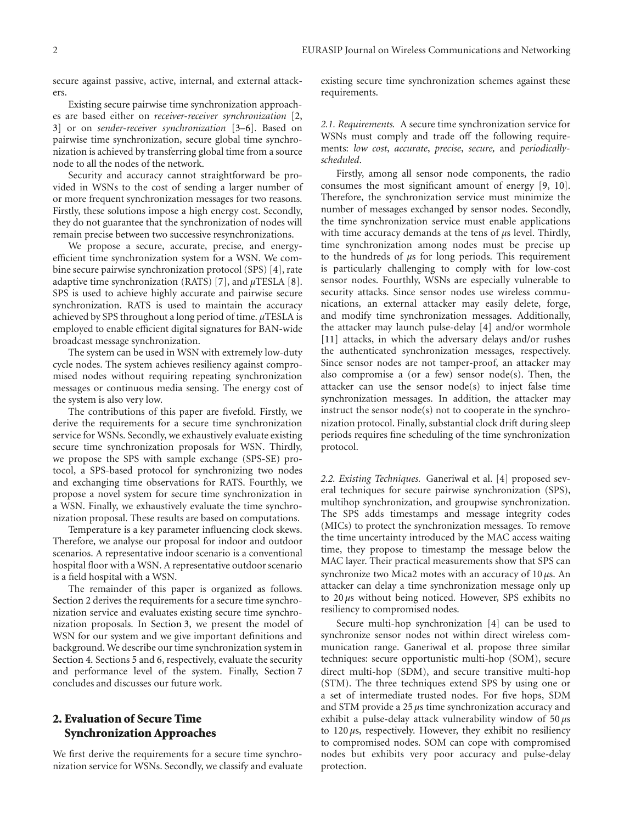secure against passive, active, internal, and external attackers.

Existing secure pairwise time synchronization approaches are based either on *receiver-receiver synchronization* [2, 3] or on *sender-receiver synchronization* [3–6]. Based on pairwise time synchronization, secure global time synchronization is achieved by transferring global time from a source node to all the nodes of the network.

Security and accuracy cannot straightforward be provided in WSNs to the cost of sending a larger number of or more frequent synchronization messages for two reasons. Firstly, these solutions impose a high energy cost. Secondly, they do not guarantee that the synchronization of nodes will remain precise between two successive resynchronizations.

We propose a secure, accurate, precise, and energyefficient time synchronization system for a WSN. We combine secure pairwise synchronization protocol (SPS) [4], rate adaptive time synchronization (RATS) [7], and *μ*TESLA [8]. SPS is used to achieve highly accurate and pairwise secure synchronization. RATS is used to maintain the accuracy achieved by SPS throughout a long period of time. *μ*TESLA is employed to enable efficient digital signatures for BAN-wide broadcast message synchronization.

The system can be used in WSN with extremely low-duty cycle nodes. The system achieves resiliency against compromised nodes without requiring repeating synchronization messages or continuous media sensing. The energy cost of the system is also very low.

The contributions of this paper are fivefold. Firstly, we derive the requirements for a secure time synchronization service for WSNs. Secondly, we exhaustively evaluate existing secure time synchronization proposals for WSN. Thirdly, we propose the SPS with sample exchange (SPS-SE) protocol, a SPS-based protocol for synchronizing two nodes and exchanging time observations for RATS. Fourthly, we propose a novel system for secure time synchronization in a WSN. Finally, we exhaustively evaluate the time synchronization proposal. These results are based on computations.

Temperature is a key parameter influencing clock skews. Therefore, we analyse our proposal for indoor and outdoor scenarios. A representative indoor scenario is a conventional hospital floor with a WSN. A representative outdoor scenario is a field hospital with a WSN.

The remainder of this paper is organized as follows. Section 2 derives the requirements for a secure time synchronization service and evaluates existing secure time synchronization proposals. In Section 3, we present the model of WSN for our system and we give important definitions and background. We describe our time synchronization system in Section 4. Sections 5 and 6, respectively, evaluate the security and performance level of the system. Finally, Section 7 concludes and discusses our future work.

## **2. Evaluation of Secure Time Synchronization Approaches**

We first derive the requirements for a secure time synchronization service for WSNs. Secondly, we classify and evaluate existing secure time synchronization schemes against these requirements.

*2.1. Requirements.* A secure time synchronization service for WSNs must comply and trade off the following requirements: *low cost*, *accurate*, *precise*, *secure,* and *periodicallyscheduled*.

Firstly, among all sensor node components, the radio consumes the most significant amount of energy [9, 10]. Therefore, the synchronization service must minimize the number of messages exchanged by sensor nodes. Secondly, the time synchronization service must enable applications with time accuracy demands at the tens of *μ*s level. Thirdly, time synchronization among nodes must be precise up to the hundreds of *μ*s for long periods. This requirement is particularly challenging to comply with for low-cost sensor nodes. Fourthly, WSNs are especially vulnerable to security attacks. Since sensor nodes use wireless communications, an external attacker may easily delete, forge, and modify time synchronization messages. Additionally, the attacker may launch pulse-delay [4] and/or wormhole [11] attacks, in which the adversary delays and/or rushes the authenticated synchronization messages, respectively. Since sensor nodes are not tamper-proof, an attacker may also compromise a (or a few) sensor node(s). Then, the attacker can use the sensor node(s) to inject false time synchronization messages. In addition, the attacker may instruct the sensor node(s) not to cooperate in the synchronization protocol. Finally, substantial clock drift during sleep periods requires fine scheduling of the time synchronization protocol.

*2.2. Existing Techniques.* Ganeriwal et al. [4] proposed several techniques for secure pairwise synchronization (SPS), multihop synchronization, and groupwise synchronization. The SPS adds timestamps and message integrity codes (MICs) to protect the synchronization messages. To remove the time uncertainty introduced by the MAC access waiting time, they propose to timestamp the message below the MAC layer. Their practical measurements show that SPS can synchronize two Mica2 motes with an accuracy of 10 *μ*s. An attacker can delay a time synchronization message only up to 20 *μ*s without being noticed. However, SPS exhibits no resiliency to compromised nodes.

Secure multi-hop synchronization [4] can be used to synchronize sensor nodes not within direct wireless communication range. Ganeriwal et al. propose three similar techniques: secure opportunistic multi-hop (SOM), secure direct multi-hop (SDM), and secure transitive multi-hop (STM). The three techniques extend SPS by using one or a set of intermediate trusted nodes. For five hops, SDM and STM provide a 25 *μ*s time synchronization accuracy and exhibit a pulse-delay attack vulnerability window of 50 *μ*s to 120 *μ*s, respectively. However, they exhibit no resiliency to compromised nodes. SOM can cope with compromised nodes but exhibits very poor accuracy and pulse-delay protection.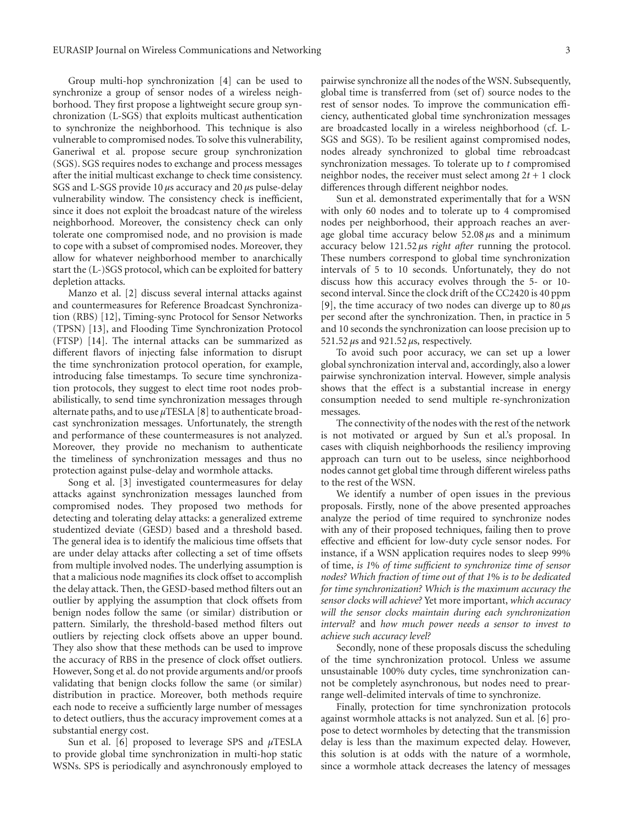Group multi-hop synchronization [4] can be used to synchronize a group of sensor nodes of a wireless neighborhood. They first propose a lightweight secure group synchronization (L-SGS) that exploits multicast authentication to synchronize the neighborhood. This technique is also vulnerable to compromised nodes. To solve this vulnerability, Ganeriwal et al. propose secure group synchronization (SGS). SGS requires nodes to exchange and process messages after the initial multicast exchange to check time consistency. SGS and L-SGS provide 10 *μ*s accuracy and 20 *μ*s pulse-delay vulnerability window. The consistency check is inefficient, since it does not exploit the broadcast nature of the wireless neighborhood. Moreover, the consistency check can only tolerate one compromised node, and no provision is made to cope with a subset of compromised nodes. Moreover, they allow for whatever neighborhood member to anarchically start the (L-)SGS protocol, which can be exploited for battery depletion attacks.

Manzo et al. [2] discuss several internal attacks against and countermeasures for Reference Broadcast Synchronization (RBS) [12], Timing-sync Protocol for Sensor Networks (TPSN) [13], and Flooding Time Synchronization Protocol (FTSP) [14]. The internal attacks can be summarized as different flavors of injecting false information to disrupt the time synchronization protocol operation, for example, introducing false timestamps. To secure time synchronization protocols, they suggest to elect time root nodes probabilistically, to send time synchronization messages through alternate paths, and to use *μ*TESLA [8] to authenticate broadcast synchronization messages. Unfortunately, the strength and performance of these countermeasures is not analyzed. Moreover, they provide no mechanism to authenticate the timeliness of synchronization messages and thus no protection against pulse-delay and wormhole attacks.

Song et al. [3] investigated countermeasures for delay attacks against synchronization messages launched from compromised nodes. They proposed two methods for detecting and tolerating delay attacks: a generalized extreme studentized deviate (GESD) based and a threshold based. The general idea is to identify the malicious time offsets that are under delay attacks after collecting a set of time offsets from multiple involved nodes. The underlying assumption is that a malicious node magnifies its clock offset to accomplish the delay attack. Then, the GESD-based method filters out an outlier by applying the assumption that clock offsets from benign nodes follow the same (or similar) distribution or pattern. Similarly, the threshold-based method filters out outliers by rejecting clock offsets above an upper bound. They also show that these methods can be used to improve the accuracy of RBS in the presence of clock offset outliers. However, Song et al. do not provide arguments and/or proofs validating that benign clocks follow the same (or similar) distribution in practice. Moreover, both methods require each node to receive a sufficiently large number of messages to detect outliers, thus the accuracy improvement comes at a substantial energy cost.

Sun et al. [6] proposed to leverage SPS and *μ*TESLA to provide global time synchronization in multi-hop static WSNs. SPS is periodically and asynchronously employed to

pairwise synchronize all the nodes of the WSN. Subsequently, global time is transferred from (set of) source nodes to the rest of sensor nodes. To improve the communication efficiency, authenticated global time synchronization messages are broadcasted locally in a wireless neighborhood (cf. L-SGS and SGS). To be resilient against compromised nodes, nodes already synchronized to global time rebroadcast synchronization messages. To tolerate up to *t* compromised neighbor nodes, the receiver must select among  $2t + 1$  clock differences through different neighbor nodes.

Sun et al. demonstrated experimentally that for a WSN with only 60 nodes and to tolerate up to 4 compromised nodes per neighborhood, their approach reaches an average global time accuracy below 52.08 *μ*s and a minimum accuracy below 121.52 *μ*s *right after* running the protocol. These numbers correspond to global time synchronization intervals of 5 to 10 seconds. Unfortunately, they do not discuss how this accuracy evolves through the 5- or 10 second interval. Since the clock drift of the CC2420 is 40 ppm [9], the time accuracy of two nodes can diverge up to 80 *μ*s per second after the synchronization. Then, in practice in 5 and 10 seconds the synchronization can loose precision up to 521.52 *μ*s and 921.52 *μ*s, respectively.

To avoid such poor accuracy, we can set up a lower global synchronization interval and, accordingly, also a lower pairwise synchronization interval. However, simple analysis shows that the effect is a substantial increase in energy consumption needed to send multiple re-synchronization messages.

The connectivity of the nodes with the rest of the network is not motivated or argued by Sun et al.'s proposal. In cases with cliquish neighborhoods the resiliency improving approach can turn out to be useless, since neighborhood nodes cannot get global time through different wireless paths to the rest of the WSN.

We identify a number of open issues in the previous proposals. Firstly, none of the above presented approaches analyze the period of time required to synchronize nodes with any of their proposed techniques, failing then to prove effective and efficient for low-duty cycle sensor nodes. For instance, if a WSN application requires nodes to sleep 99% of time, *is 1*% *of time sufficient to synchronize time of sensor nodes? Which fraction of time out of that 1*% *is to be dedicated for time synchronization? Which is the maximum accuracy the sensor clocks will achieve?* Yet more important, *which accuracy will the sensor clocks maintain during each synchronization interval?* and *how much power needs a sensor to invest to achieve such accuracy level?*

Secondly, none of these proposals discuss the scheduling of the time synchronization protocol. Unless we assume unsustainable 100% duty cycles, time synchronization cannot be completely asynchronous, but nodes need to prearrange well-delimited intervals of time to synchronize.

Finally, protection for time synchronization protocols against wormhole attacks is not analyzed. Sun et al. [6] propose to detect wormholes by detecting that the transmission delay is less than the maximum expected delay. However, this solution is at odds with the nature of a wormhole, since a wormhole attack decreases the latency of messages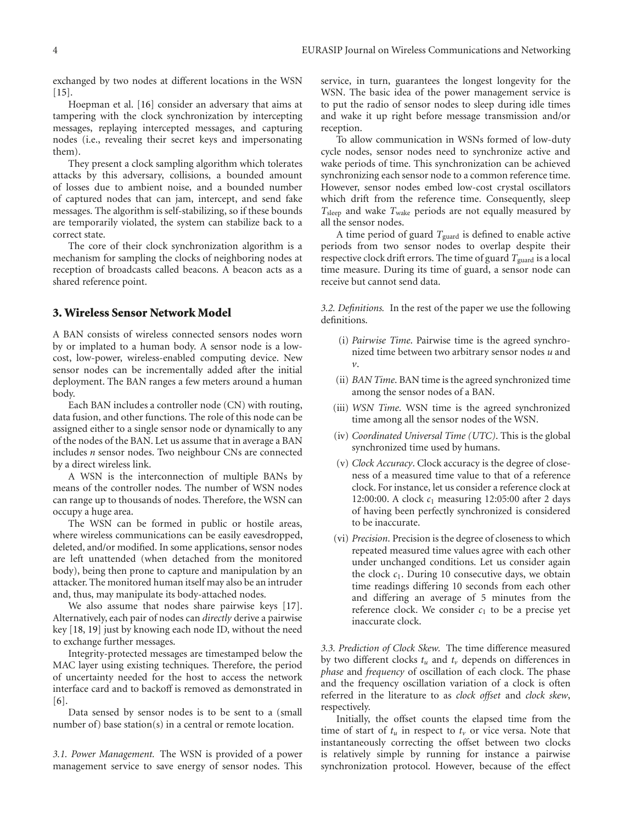exchanged by two nodes at different locations in the WSN  $[15]$ .

Hoepman et al. [16] consider an adversary that aims at tampering with the clock synchronization by intercepting messages, replaying intercepted messages, and capturing nodes (i.e., revealing their secret keys and impersonating them).

They present a clock sampling algorithm which tolerates attacks by this adversary, collisions, a bounded amount of losses due to ambient noise, and a bounded number of captured nodes that can jam, intercept, and send fake messages. The algorithm is self-stabilizing, so if these bounds are temporarily violated, the system can stabilize back to a correct state.

The core of their clock synchronization algorithm is a mechanism for sampling the clocks of neighboring nodes at reception of broadcasts called beacons. A beacon acts as a shared reference point.

#### **3. Wireless Sensor Network Model**

A BAN consists of wireless connected sensors nodes worn by or implated to a human body. A sensor node is a lowcost, low-power, wireless-enabled computing device. New sensor nodes can be incrementally added after the initial deployment. The BAN ranges a few meters around a human body.

Each BAN includes a controller node (CN) with routing, data fusion, and other functions. The role of this node can be assigned either to a single sensor node or dynamically to any of the nodes of the BAN. Let us assume that in average a BAN includes *n* sensor nodes. Two neighbour CNs are connected by a direct wireless link.

A WSN is the interconnection of multiple BANs by means of the controller nodes. The number of WSN nodes can range up to thousands of nodes. Therefore, the WSN can occupy a huge area.

The WSN can be formed in public or hostile areas, where wireless communications can be easily eavesdropped, deleted, and/or modified. In some applications, sensor nodes are left unattended (when detached from the monitored body), being then prone to capture and manipulation by an attacker. The monitored human itself may also be an intruder and, thus, may manipulate its body-attached nodes.

We also assume that nodes share pairwise keys [17]. Alternatively, each pair of nodes can *directly* derive a pairwise key [18, 19] just by knowing each node ID, without the need to exchange further messages.

Integrity-protected messages are timestamped below the MAC layer using existing techniques. Therefore, the period of uncertainty needed for the host to access the network interface card and to backoff is removed as demonstrated in  $[6]$ 

Data sensed by sensor nodes is to be sent to a (small number of) base station(s) in a central or remote location.

*3.1. Power Management.* The WSN is provided of a power management service to save energy of sensor nodes. This

service, in turn, guarantees the longest longevity for the WSN. The basic idea of the power management service is to put the radio of sensor nodes to sleep during idle times and wake it up right before message transmission and/or reception.

To allow communication in WSNs formed of low-duty cycle nodes, sensor nodes need to synchronize active and wake periods of time. This synchronization can be achieved synchronizing each sensor node to a common reference time. However, sensor nodes embed low-cost crystal oscillators which drift from the reference time. Consequently, sleep *T*sleep and wake *T*wake periods are not equally measured by all the sensor nodes.

A time period of guard *T*guard is defined to enable active periods from two sensor nodes to overlap despite their respective clock drift errors. The time of guard *T*<sub>guard</sub> is a local time measure. During its time of guard, a sensor node can receive but cannot send data.

*3.2. Definitions.* In the rest of the paper we use the following definitions.

- (i) *Pairwise Time*. Pairwise time is the agreed synchronized time between two arbitrary sensor nodes *u* and *v*.
- (ii) *BAN Time*. BAN time is the agreed synchronized time among the sensor nodes of a BAN.
- (iii) *WSN Time*. WSN time is the agreed synchronized time among all the sensor nodes of the WSN.
- (iv) *Coordinated Universal Time (UTC)*. This is the global synchronized time used by humans.
- (v) *Clock Accuracy*. Clock accuracy is the degree of closeness of a measured time value to that of a reference clock. For instance, let us consider a reference clock at 12:00:00. A clock  $c_1$  measuring 12:05:00 after 2 days of having been perfectly synchronized is considered to be inaccurate.
- (vi) *Precision*. Precision is the degree of closeness to which repeated measured time values agree with each other under unchanged conditions. Let us consider again the clock  $c_1$ . During 10 consecutive days, we obtain time readings differing 10 seconds from each other and differing an average of 5 minutes from the reference clock. We consider  $c_1$  to be a precise yet inaccurate clock.

*3.3. Prediction of Clock Skew.* The time difference measured by two different clocks  $t_u$  and  $t_v$  depends on differences in *phase* and *frequency* of oscillation of each clock. The phase and the frequency oscillation variation of a clock is often referred in the literature to as *clock offset* and *clock skew*, respectively.

Initially, the offset counts the elapsed time from the time of start of  $t_u$  in respect to  $t_v$  or vice versa. Note that instantaneously correcting the offset between two clocks is relatively simple by running for instance a pairwise synchronization protocol. However, because of the effect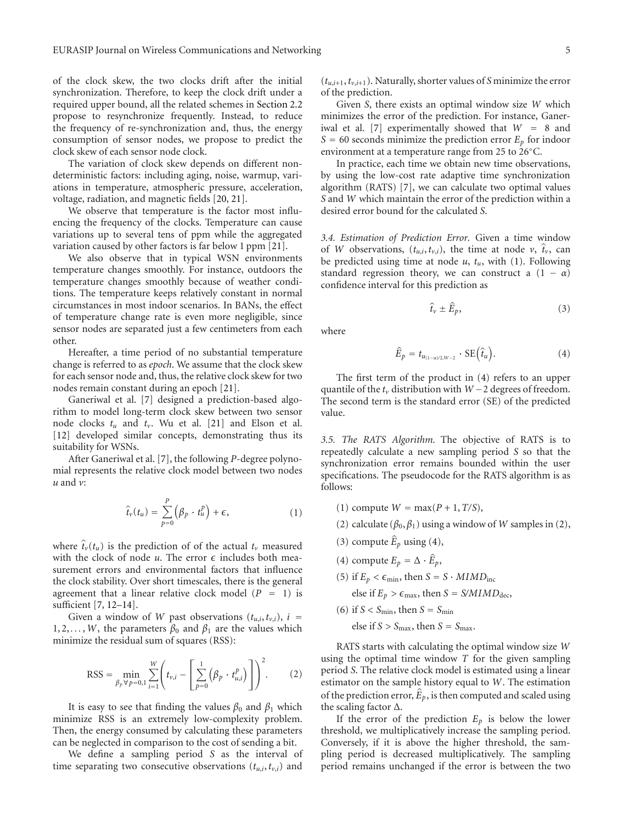of the clock skew, the two clocks drift after the initial synchronization. Therefore, to keep the clock drift under a required upper bound, all the related schemes in Section 2.2 propose to resynchronize frequently. Instead, to reduce the frequency of re-synchronization and, thus, the energy consumption of sensor nodes, we propose to predict the clock skew of each sensor node clock.

The variation of clock skew depends on different nondeterministic factors: including aging, noise, warmup, variations in temperature, atmospheric pressure, acceleration, voltage, radiation, and magnetic fields [20, 21].

We observe that temperature is the factor most influencing the frequency of the clocks. Temperature can cause variations up to several tens of ppm while the aggregated variation caused by other factors is far below 1 ppm [21].

We also observe that in typical WSN environments temperature changes smoothly. For instance, outdoors the temperature changes smoothly because of weather conditions. The temperature keeps relatively constant in normal circumstances in most indoor scenarios. In BANs, the effect of temperature change rate is even more negligible, since sensor nodes are separated just a few centimeters from each other.

Hereafter, a time period of no substantial temperature change is referred to as *epoch*. We assume that the clock skew for each sensor node and, thus, the relative clock skew for two nodes remain constant during an epoch [21].

Ganeriwal et al. [7] designed a prediction-based algorithm to model long-term clock skew between two sensor node clocks *tu* and *tv*. Wu et al. [21] and Elson et al. [12] developed similar concepts, demonstrating thus its suitability for WSNs.

After Ganeriwal et al. [7], the following *P*-degree polynomial represents the relative clock model between two nodes<br>  $u$  and  $v$ :<br>  $\hat{t}_v(t_u) = \sum_{r=0}^{p} (\beta_p \cdot t_u^p) + \epsilon,$  (1) *u* and *v*:

$$
\hat{t}_{\nu}(t_u) = \sum_{p=0}^{P} (\beta_p \cdot t_u^p) + \epsilon,
$$
\n(1)

\nwhere  $\hat{t}_{\nu}(t_u)$  is the prediction of the actual  $t_{\nu}$  measured

with the clock of node  $u$ . The error  $\epsilon$  includes both measurement errors and environmental factors that influence the clock stability. Over short timescales, there is the general agreement that a linear relative clock model  $(P = 1)$  is sufficient [7, 12–14].

Given a window of *W* past observations  $(t_{u,i}, t_{v,i})$ ,  $i =$ 1, 2,..., *W*, the parameters  $β_0$  and  $β_1$  are the values which minimize the residual sum of squares (PSS). minimize the residual sum of squares (RSS):

RSS = 
$$
\min_{\beta_p \forall p=0,1} \sum_{i=1}^{W} \left( t_{v,i} - \left[ \sum_{p=0}^{1} (\beta_p \cdot t_{u,i}^p) \right] \right)^2
$$
. (2)

It is easy to see that finding the values  $\beta_0$  and  $\beta_1$  which minimize RSS is an extremely low-complexity problem. Then, the energy consumed by calculating these parameters can be neglected in comparison to the cost of sending a bit.

We define a sampling period *S* as the interval of time separating two consecutive observations  $(t_{u,i}, t_{v,i})$  and

 $(t_{u,i+1}, t_{v,i+1})$ . Naturally, shorter values of *S* minimize the error of the prediction.

Given *S*, there exists an optimal window size *W* which minimizes the error of the prediction. For instance, Ganeriwal et al. [7] experimentally showed that *<sup>W</sup>* <sup>=</sup> 8 and  $S = 60$  seconds minimize the prediction error  $E_p$  for indoor environment at a temperature range from 25 to 26◦C.

In practice, each time we obtain new time observations, by using the low-cost rate adaptive time synchronization algorithm (RATS) [7], we can calculate two optimal values *S* and *W* which maintain the error of the prediction within a desired error bound for the calculated *S*.

*3.4. Estimation of Prediction Error.* Given a time window 3.4. *Estimation of Prediction Error*. Given a time window of *W* observations,  $(t_{u,i}, t_{v,i})$ , the time at node  $v$ ,  $\hat{t}_v$ , can be predicted using time at node *u*, *tu*, with (1). Following standard regression theory, we can construct a  $(1 - \alpha)$ confidence interval for this prediction as<br> $\hat{t}_v \pm \hat{E}_p$ ,

$$
\hat{\psi} \pm \hat{E}_p, \tag{3}
$$

where

$$
\hat{E}_p = t_{u_{(1-\alpha)/2,W-2}} \cdot \text{SE}(\hat{t}_u).
$$
\n(4)

The first term of the product in (4) refers to an upper quantile of the *tv* distribution with *<sup>W</sup>* <sup>−</sup>2 degrees of freedom. The second term is the standard error (SE) of the predicted value.

*3.5. The RATS Algorithm.* The objective of RATS is to repeatedly calculate a new sampling period *S* so that the synchronization error remains bounded within the user specifications. The pseudocode for the RATS algorithm is as follows:

- (1) compute  $W = \max(P + 1, T/S)$ ,
- (2) calculate ( $\beta_0$ ,  $\beta_1$ ) using a window of *W* samples in (2),
- (1) compute  $W = \max_{P} (P)$ <br>(2) calculate  $(\beta_0, \beta_1)$  using (3) compute  $\hat{E}_p$  using (4), (3) compute  $\hat{E}_p$  using (4)<br>(4) compute  $E_p = \Delta \cdot \hat{E}$
- (4) compute  $E_p = \Delta \cdot \hat{E}_p$ ,
- (5) if  $E_p < \epsilon_{\min}$ , then  $S = S \cdot MIMD_{\text{inc}}$ 
	- else if  $E_p > \epsilon_{\text{max}}$ , then *S* = *S/MIMD*<sub>dec</sub>,
- (6) if  $S < S_{\text{min}}$ , then  $S = S_{\text{min}}$ 
	- else if  $S > S<sub>max</sub>$ , then  $S = S<sub>max</sub>$ .

RATS starts with calculating the optimal window size *W* using the optimal time window *T* for the given sampling period *S*. The relative clock model is estimated using a linear estimator on the sample history equal to *W*. The estimation period S. The relative clock model is estimated using a linear estimator on the sample history equal to W. The estimation of the prediction error,  $\hat{E}_p$ , is then computed and scaled using the scaling factor Δ.

If the error of the prediction  $E_p$  is below the lower threshold, we multiplicatively increase the sampling period. Conversely, if it is above the higher threshold, the sampling period is decreased multiplicatively. The sampling period remains unchanged if the error is between the two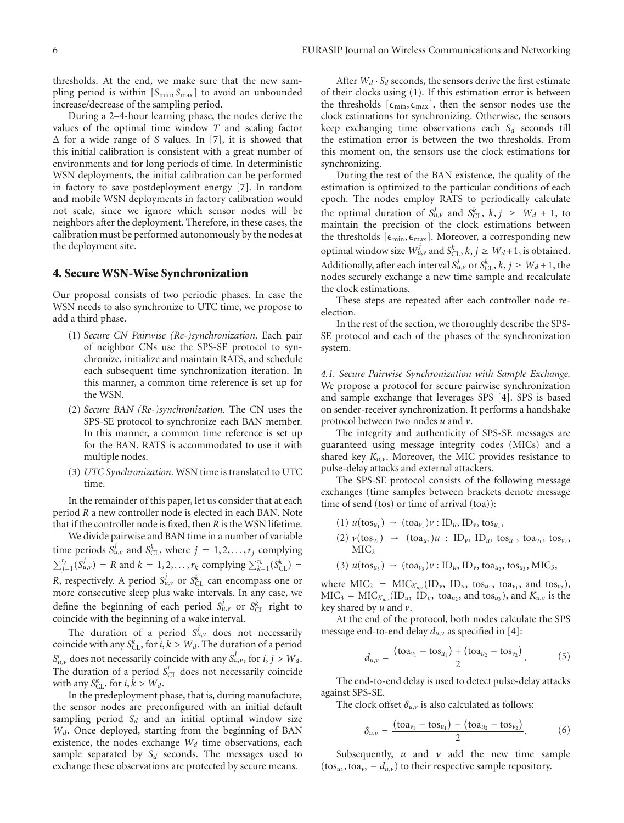thresholds. At the end, we make sure that the new sampling period is within [S<sub>min</sub>, S<sub>max</sub>] to avoid an unbounded increase/decrease of the sampling period.

During a 2–4-hour learning phase, the nodes derive the values of the optimal time window *T* and scaling factor Δ for a wide range of *S* values. In [7], it is showed that this initial calibration is consistent with a great number of environments and for long periods of time. In deterministic WSN deployments, the initial calibration can be performed in factory to save postdeployment energy [7]. In random and mobile WSN deployments in factory calibration would not scale, since we ignore which sensor nodes will be neighbors after the deployment. Therefore, in these cases, the calibration must be performed autonomously by the nodes at the deployment site.

#### **4. Secure WSN-Wise Synchronization**

Our proposal consists of two periodic phases. In case the WSN needs to also synchronize to UTC time, we propose to add a third phase.

- (1) *Secure CN Pairwise (Re-)synchronization*. Each pair of neighbor CNs use the SPS-SE protocol to synchronize, initialize and maintain RATS, and schedule each subsequent time synchronization iteration. In this manner, a common time reference is set up for the WSN.
- (2) *Secure BAN (Re-)synchronization*. The CN uses the SPS-SE protocol to synchronize each BAN member. In this manner, a common time reference is set up for the BAN. RATS is accommodated to use it with multiple nodes.
- (3) *UTC Synchronization*. WSN time is translated to UTC time.

In the remainder of this paper, let us consider that at each period *R* a new controller node is elected in each BAN. Note that if the controller node is fixed, then *R* is the WSN lifetime.

We divide pairwise and BAN time in a number of variable time periods  $S_{u,v}^j$  and  $S_{CL}^k$ , where  $j = 1, 2, ..., r_j$  complying  $\int_{j=1}^{r_j} (S_u^j)$ *u*,*v*) = *R* and *k* = 1, 2, *...*, *r<sub>k</sub>* complying  $\sum_{k=1}^{j} (S_{CL}^{k})$  = *R* and *k* = 1, 2, *...*, *r<sub>k</sub>* complying  $\sum_{k=1}^{j} (S_{CL}^{k})$  = *R*, respectively. A period  $S^j_{u,v}$  or  $S^k_{CL}$  can encompass one or more consecutive sleep plus wake intervals. In any case, we define the beginning of each period  $S_{u,v}^j$  or  $S_{CL}^k$  right to coincide with the beginning of a wake interval.

The duration of a period  $S_{u,v}^j$  does not necessarily coincide with any  $S_{CL}^k$ , for  $i, k > W_d$ . The duration of a period  $S_{u,v}^i$  does not necessarily coincide with any  $S_{u,v}^j$ , for *i*, *j* > *W<sub>d</sub>*. The duration of a period  $S_{CL}^{i}$  does not necessarily coincide with any  $S_{\text{CL}}^k$ , for  $i, k > W_d$ .

In the predeployment phase, that is, during manufacture, the sensor nodes are preconfigured with an initial default sampling period  $S_d$  and an initial optimal window size *Wd*. Once deployed, starting from the beginning of BAN existence, the nodes exchange *Wd* time observations, each sample separated by  $S_d$  seconds. The messages used to exchange these observations are protected by secure means.

After  $W_d \cdot S_d$  seconds, the sensors derive the first estimate of their clocks using (1). If this estimation error is between the thresholds  $[\epsilon_{\min}, \epsilon_{\max}]$ , then the sensor nodes use the clock estimations for synchronizing. Otherwise, the sensors keep exchanging time observations each  $S_d$  seconds till the estimation error is between the two thresholds. From this moment on, the sensors use the clock estimations for synchronizing.

During the rest of the BAN existence, the quality of the estimation is optimized to the particular conditions of each epoch. The nodes employ RATS to periodically calculate the optimal duration of  $S_{u,v}^j$  and  $S_{c}^k$ ,  $k, j \geq W_d + 1$ , to maintain the precision of the clock estimations between the thresholds  $[\epsilon_{\min}, \epsilon_{\max}]$ . Moreover, a corresponding new optimal window size  $W_{u,v}^j$  and  $S_{CL}^k$ ,  $k, j \geq W_d+1$ , is obtained. Additionally, after each interval  $S_{u,v}^j$  or  $S_{CL}^k$ ,  $k, j \geq W_d + 1$ , the nodes securely exchange a new time sample and recalculate the clock estimations.

These steps are repeated after each controller node reelection.

In the rest of the section, we thoroughly describe the SPS-SE protocol and each of the phases of the synchronization system.

*4.1. Secure Pairwise Synchronization with Sample Exchange.* We propose a protocol for secure pairwise synchronization and sample exchange that leverages SPS [4]. SPS is based on sender-receiver synchronization. It performs a handshake protocol between two nodes *u* and *v*.

The integrity and authenticity of SPS-SE messages are guaranteed using message integrity codes (MICs) and a shared key *Ku*,*<sup>v</sup>*. Moreover, the MIC provides resistance to pulse-delay attacks and external attackers.

The SPS-SE protocol consists of the following message exchanges (time samples between brackets denote message time of send (tos) or time of arrival (toa)):

- $(1)$   $u(\text{tos}_{u_1}) \rightarrow (\text{toa}_{v_1})v: \text{ID}_u, \text{ID}_v, \text{tos}_{u_1},$
- $(2)$   $v(\cos_{v_2}) \rightarrow (\cos_{u_2})u : ID_v, ID_u, \cos_{u_1}, \cos_{v_2},$  $MIC<sub>2</sub>$
- $(3)$   $u(\text{tos}_{u_3}) \rightarrow (\text{toa}_{v_3})v: \text{ID}_u, \text{ID}_v, \text{toa}_{u_2}, \text{tos}_{u_3}, \text{MIC}_3,$

where  $\text{MIC}_2$  =  $\text{MIC}_{K_{u,v}}(\text{ID}_v, \text{ ID}_u, \text{tos}_{u_1}, \text{toa}_{v_1}, \text{and } \text{tos}_{v_2}),$  $MIC<sub>3</sub> = MIC<sub>K<sub>u,v</sub></sub> (ID<sub>u</sub>, ID<sub>v</sub>, toa<sub>u<sub>2</sub></sub>, and tos<sub>u<sub>3</sub></sub>), and K<sub>u,v</sub> is the$ key shared by *u* and *v*.

At the end of the protocol, both nodes calculate the SPS message end-to-end delay *du*,*<sup>v</sup>* as specified in [4]: ooth<br>s sp<br>+ (

$$
d_{u,v} = \frac{(\text{toa}_{v_1} - \text{toa}_{u_1}) + (\text{toa}_{u_2} - \text{toa}_{v_2})}{2}.
$$
 (5)

The end-to-end delay is used to detect pulse-delay attacks<br>inst SPS-SE against SPS-SE.  $\frac{1}{2}$ <br>= (

The clock offset  $\delta_{u,v}$  is also calculated as follows:

$$
\delta_{u,v} = \frac{(\text{to}a_{v_1} - \text{to}a_{u_1}) - (\text{to}a_{u_2} - \text{to}a_{v_2})}{2}.
$$
 (6)

Subsequently,  $u$  and  $v$  add the new time sample  $(tos<sub>u</sub>$ ,  $toa<sub>v</sub> - d<sub>u</sub>$ <sup>*,*</sup>) to their respective sample repository.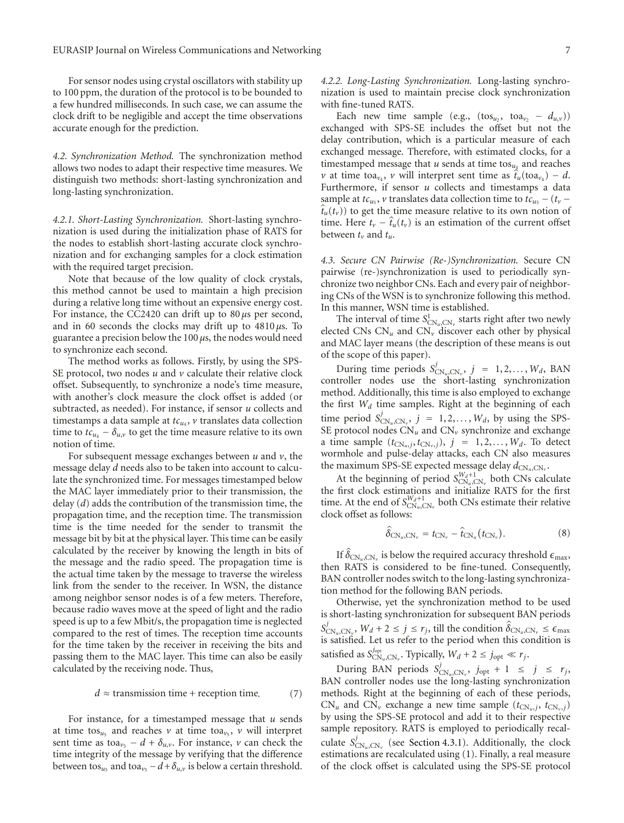For sensor nodes using crystal oscillators with stability up to 100 ppm, the duration of the protocol is to be bounded to a few hundred milliseconds. In such case, we can assume the clock drift to be negligible and accept the time observations accurate enough for the prediction.

*4.2. Synchronization Method.* The synchronization method allows two nodes to adapt their respective time measures. We distinguish two methods: short-lasting synchronization and long-lasting synchronization.

*4.2.1. Short-Lasting Synchronization.* Short-lasting synchronization is used during the initialization phase of RATS for the nodes to establish short-lasting accurate clock synchronization and for exchanging samples for a clock estimation with the required target precision.

Note that because of the low quality of clock crystals, this method cannot be used to maintain a high precision during a relative long time without an expensive energy cost. For instance, the CC2420 can drift up to 80 *μ*s per second, and in 60 seconds the clocks may drift up to 4810 *μ*s. To guarantee a precision below the 100 *μ*s, the nodes would need to synchronize each second.

The method works as follows. Firstly, by using the SPS-SE protocol, two nodes *u* and *v* calculate their relative clock offset. Subsequently, to synchronize a node's time measure, with another's clock measure the clock offset is added (or subtracted, as needed). For instance, if sensor *u* collects and timestamps a data sample at  $tc_{u_4}$ ,  $v$  translates data collection time to  $tc_{u_4} - \delta_{u,v}$  to get the time measure relative to its own notion of time.

For subsequent message exchanges between *u* and *v*, the message delay *d* needs also to be taken into account to calculate the synchronized time. For messages timestamped below the MAC layer immediately prior to their transmission, the delay (*d*) adds the contribution of the transmission time, the propagation time, and the reception time. The transmission time is the time needed for the sender to transmit the message bit by bit at the physical layer. This time can be easily calculated by the receiver by knowing the length in bits of the message and the radio speed. The propagation time is the actual time taken by the message to traverse the wireless link from the sender to the receiver. In WSN, the distance among neighbor sensor nodes is of a few meters. Therefore, because radio waves move at the speed of light and the radio speed is up to a few Mbit/s, the propagation time is neglected compared to the rest of times. The reception time accounts for the time taken by the receiver in receiving the bits and passing them to the MAC layer. This time can also be easily calculated by the receiving node. Thus,

$$
d \approx \text{transmission time} + \text{reception time.} \tag{7}
$$

For instance, for a timestamped message that *u* sends at time tos<sub>*u*5</sub> and reaches *v* at time toa<sub>*v*5</sub></sub>, *v* will interpret sent time as toa<sub> $v_5$ </sub> − *d* +  $\delta_{u,v}$ . For instance, *v* can check the time integrity of the message by verifying that the difference between tos<sub>*u*5</sub> and toa<sub> $\nu$ 5</sub> − *d* +  $\delta$ <sub>*u* $\nu$ </sub> is below a certain threshold. *4.2.2. Long-Lasting Synchronization.* Long-lasting synchronization is used to maintain precise clock synchronization with fine-tuned RATS.

Each new time sample (e.g., (tos<sub>*u*2</sub></sub>, toa<sub>*v*<sub>2</sub> –  $d_{u,v}$ ))</sub> exchanged with SPS-SE includes the offset but not the delay contribution, which is a particular measure of each exchanged message. Therefore, with estimated clocks, for a timestamped message that  $u$  sends at time tos<sub> $u_4$ </sub> and reaches exchanged message. Therefore, with estimated clocks, for a timestamped message that *u* sends at time tos<sub>*u*4</sub></sub> and reaches  $\nu$  at time toa<sub> $\nu_4$ </sub>,  $\nu$  will interpret sent time as  $\hat{t}_u$ (toa<sub> $\nu_4$ </sub>) − *d*. Furthermore, if sensor *u* collects and timestamps a data sample at  $tc_{u_5}$ ,  $v$  translates data collection time to  $tc_{u_5} - (t_v \hat{t}_u(t_v)$ ) to get the time measure relative to its own notion of time. Here  $t_v - \hat{t}_u(t_v)$  is an estimation of the current offset between *tv* and *tu*.

*4.3. Secure CN Pairwise (Re-)Synchronization.* Secure CN pairwise (re-)synchronization is used to periodically synchronize two neighbor CNs. Each and every pair of neighboring CNs of the WSN is to synchronize following this method. In this manner, WSN time is established.

The interval of time  $S^1_{CN_u, CN_v}$  starts right after two newly elected CNs  $CN_u$  and  $CN_v$  discover each other by physical and MAC layer means (the description of these means is out of the scope of this paper).

During time periods  $S_{CN_u, CN_v}^j$ ,  $j = 1, 2, ..., W_d$ , BAN controller nodes use the short-lasting synchronization method. Additionally, this time is also employed to exchange the first *Wd* time samples. Right at the beginning of each time period  $S_{CN_u, CN_v}^j$ ,  $j = 1, 2, ..., W_d$ , by using the SPS-SE protocol nodes  $CN_u$  and  $CN_v$  synchronize and exchange a time sample  $(t_{CN_u,j}, t_{CN_v,j})$ ,  $j = 1, 2, ..., W_d$ . To detect wormhole and pulse-delay attacks, each CN also measures the maximum SPS-SE expected message delay  $d_{CN_u, CN_v}$ .

At the beginning of period  $S^{W_d+1}_{CN_u, CN_v}$  both CNs calculate the first clock estimations and initialize RATS for the first time. At the end of  $S_{CN_u, CN_v}^{W_d+1}$  both CNs estimate their relative<br>clock offset as follows:<br> $\hat{\delta}_{CN_u, CN_v} = t_{CN_v} - \hat{t}_{CN_u}(t_{CN_v})$ . (8) clock offset as follows:

$$
\hat{\delta}_{\text{CN}_u,\text{CN}_v} = t_{\text{CN}_v} - \hat{t}_{\text{CN}_u}(t_{\text{CN}_v}). \tag{8}
$$

 $\hat{\delta}_{CN_u, CN_v} = t_{CN_v} - \hat{t}_{CN_u}(t_{CN_v}).$ <br>If  $\hat{\delta}_{CN_u, CN_v}$  is below the required accuracy threshold  $\epsilon_{\text{max}}$ , then RATS is considered to be fine-tuned. Consequently, BAN controller nodes switch to the long-lasting synchronization method for the following BAN periods.

Otherwise, yet the synchronization method to be used is short-lasting synchronization for subsequent BAN periods *S j* COMETAING STATE OF CONDUCT CONDUCTS SHOTLART CONDUCTS SHOTLART STATE STATE STATE STATE  $j$ <br> *S*<sub>CN*u*</sub>,CN*v*</sub>, *W<sub>d</sub>* + 2  $\leq j \leq r_j$ , till the condition  $\hat{\delta}_{CN_u, CN_v} \leq \epsilon_{\text{max}}$ is satisfied. Let us refer to the period when this condition is satisfied as  $S_{\text{CN}_u,\text{CN}_v}^{j_{\text{opt}}}$ . Typically,  $W_d + 2 \le j_{\text{opt}} \ll r_j$ .

During BAN periods  $S_{CN_u,CN_v}^j$ ,  $j_{opt} + 1 \le j \le r_j$ , BAN controller nodes use the long-lasting synchronization methods. Right at the beginning of each of these periods,  $CN_u$  and  $CN_v$  exchange a new time sample  $(t_{CN_u,j}, t_{CN_v,j})$ by using the SPS-SE protocol and add it to their respective sample repository. RATS is employed to periodically recalculate  $S_{\text{CN}_u,\text{CN}_v}^j$  (see Section 4.3.1). Additionally, the clock estimations are recalculated using (1). Finally, a real measure of the clock offset is calculated using the SPS-SE protocol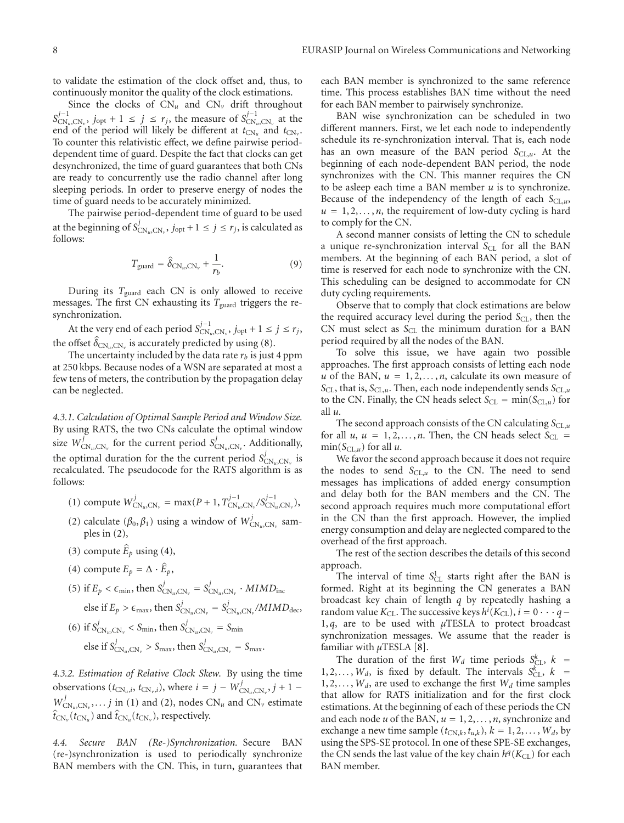to validate the estimation of the clock offset and, thus, to continuously monitor the quality of the clock estimations.

Since the clocks of  $CN_u$  and  $CN_v$  drift throughout  $S_{CN_u, CN_v}^{j-1}$ , *j*<sub>opt</sub> + 1 ≤ *j* ≤ *r<sub>j</sub>*, the measure of  $S_{CN_u, CN_v}^{j-1}$  at the end of the period will likely be different at  $t_{CN_u}$  and  $t_{CN_v}$ . To counter this relativistic effect, we define pairwise perioddependent time of guard. Despite the fact that clocks can get desynchronized, the time of guard guarantees that both CNs are ready to concurrently use the radio channel after long sleeping periods. In order to preserve energy of nodes the time of guard needs to be accurately minimized.

The pairwise period-dependent time of guard to be used at the beginning of  $S_{CN_u, CN_v}^j$ ,  $j_{opt} + 1 \le j \le r_j$ , is calculated as follows:

$$
T_{\text{guard}} = \hat{\delta}_{\text{CN}_u, \text{CN}_v} + \frac{1}{r_b}.
$$
 (9)

During its *T*guard each CN is only allowed to receive messages. The first CN exhausting its *T*guard triggers the resynchronization.

At the very end of each period  $S^{j-1}_{CN_u, CN_v}$ ,  $j_{opt} + 1 \le j \le r_j$ , synchroniza<br>At the v<br>the offset  $\hat{\delta}$ the offset  $\hat{\delta}_{CN_u, CN_v}$  is accurately predicted by using (8).

The uncertainty included by the data rate  $r_b$  is just 4 ppm at 250 kbps. Because nodes of a WSN are separated at most a few tens of meters, the contribution by the propagation delay can be neglected.

*4.3.1. Calculation of Optimal Sample Period and Window Size.* By using RATS, the two CNs calculate the optimal window size  $W_{\text{CN}_u,\text{CN}_v}^j$  for the current period  $S_{\text{CN}_u,\text{CN}_v}^j$ . Additionally, the optimal duration for the the current period  $S_{CN_u, CN_v}^j$  is recalculated. The pseudocode for the RATS algorithm is as follows:

- $(1)$  compute  $W_{CN_u, CN_v}^j = \max(P + 1, T_{CN_u, CN_v}^{j-1}/S_{CN_u, CN_v}^{j-1}),$
- (2) calculate ( $\beta_0$ ,  $\beta_1$ ) using a window of  $W_{CN_u, CN_v}^j$  samples in (2),<br>(3) compute  $\hat{E}_p$  using (4), ples in (2),
- (3) compute  $\hat{E}_p$  using (4),
- (3) compute  $\hat{E}_p$  using (4)<br>(4) compute  $E_p = \Delta \cdot \hat{E}_p$ ,
- (5) if  $E_p < \epsilon_{\min}$ , then  $S_{\text{CN}_u,\text{CN}_v}^j = S_{\text{CN}_u,\text{CN}_v}^j \cdot MIMD_{\text{inc}}$ else if  $E_p > \epsilon_{\text{max}}$ , then  $S_{\text{CN}_u,\text{CN}_v}^j = S_{\text{CN}_u,\text{CN}_v}^j/MIND_{\text{dec}}$ ,
- (6) if  $S_{\text{CN}_u,\text{CN}_v}^j < S_{\text{min}}$ , then  $S_{\text{CN}_u,\text{CN}_v}^j = S_{\text{min}}$ else if  $S^j_{CN_u, CN_v} > S_{\text{max}}$ , then  $S^j_{CN_u, CN_v} = S_{\text{max}}$ .

*4.3.2. Estimation of Relative Clock Skew.* By using the time observations  $(t_{CN_u,i}, t_{CN_v,i})$ , where  $i = j - W_{CN_u, CN_v}^j, j + 1$  $W_{CN_u, CN_v}^j, \ldots j$  in (1) and (2), nodes  $CN_u$  and  $CN_v$  estimate *observations* (*t*<sub>C</sub>)<br>*W*<sub>CN<sub>*u*</sub>,CN<sub>*v*</sub></sub>,...*j* in<br> $\hat{t}_{CN_v}(t_{CN_u})$  and  $\hat{t}_v$  $\hat{t}_{CN_{\nu}}(t_{CN_{\nu}})$  and  $\hat{t}_{CN_{\nu}}(t_{CN_{\nu}})$ , respectively.

*4.4. Secure BAN (Re-)Synchronization.* Secure BAN (re-)synchronization is used to periodically synchronize BAN members with the CN. This, in turn, guarantees that each BAN member is synchronized to the same reference time. This process establishes BAN time without the need for each BAN member to pairwisely synchronize.

BAN wise synchronization can be scheduled in two different manners. First, we let each node to independently schedule its re-synchronization interval. That is, each node has an own measure of the BAN period  $S_{CL,u}$ . At the beginning of each node-dependent BAN period, the node synchronizes with the CN. This manner requires the CN to be asleep each time a BAN member *u* is to synchronize. Because of the independency of the length of each  $S_{CL,u}$ ,  $u = 1, 2, \ldots, n$ , the requirement of low-duty cycling is hard to comply for the CN.

A second manner consists of letting the CN to schedule a unique re-synchronization interval S<sub>CL</sub> for all the BAN members. At the beginning of each BAN period, a slot of time is reserved for each node to synchronize with the CN. This scheduling can be designed to accommodate for CN duty cycling requirements.

Observe that to comply that clock estimations are below the required accuracy level during the period  $S_{CL}$ , then the CN must select as S<sub>CL</sub> the minimum duration for a BAN period required by all the nodes of the BAN.

To solve this issue, we have again two possible approaches. The first approach consists of letting each node *u* of the BAN,  $u = 1, 2, \ldots, n$ , calculate its own measure of  $S_{CL}$ , that is,  $S_{CL,u}$ . Then, each node independently sends  $S_{CL,u}$ to the CN. Finally, the CN heads select  $S_{CL} = min(S_{CL,u})$  for all *u*.

The second approach consists of the CN calculating  $S_{CL,u}$ for all  $u, u = 1, 2, \ldots, n$ . Then, the CN heads select  $S_{CL}$  =  $min(S<sub>CL,u</sub>)$  for all *u*.

We favor the second approach because it does not require the nodes to send  $S_{CL,u}$  to the CN. The need to send messages has implications of added energy consumption and delay both for the BAN members and the CN. The second approach requires much more computational effort in the CN than the first approach. However, the implied energy consumption and delay are neglected compared to the overhead of the first approach.

The rest of the section describes the details of this second approach.

The interval of time  $S^1_{CL}$  starts right after the BAN is formed. Right at its beginning the CN generates a BAN broadcast key chain of length *q* by repeatedly hashing a random value  $K_{\text{CL}}$ . The successive keys  $h^i(K_{\text{CL}}), i = 0 \cdot \cdot \cdot q -$ 1, *q*, are to be used with *μ*TESLA to protect broadcast synchronization messages. We assume that the reader is familiar with *μ*TESLA [8].

The duration of the first  $W_d$  time periods  $S_{CL}^k$ ,  $k =$ 1, 2, ...,  $W_d$ , is fixed by default. The intervals  $S_{CL}^{k}$ ,  $k =$  $1, 2, \ldots, W_d$ , are used to exchange the first  $W_d$  time samples that allow for RATS initialization and for the first clock estimations. At the beginning of each of these periods the CN and each node  $u$  of the BAN,  $u = 1, 2, \ldots, n$ , synchronize and exchange a new time sample  $(t_{CN,k}, t_{u,k}), k = 1, 2, \ldots, W_d,$  by using the SPS-SE protocol. In one of these SPE-SE exchanges, the CN sends the last value of the key chain  $h^q(K_{CL})$  for each BAN member.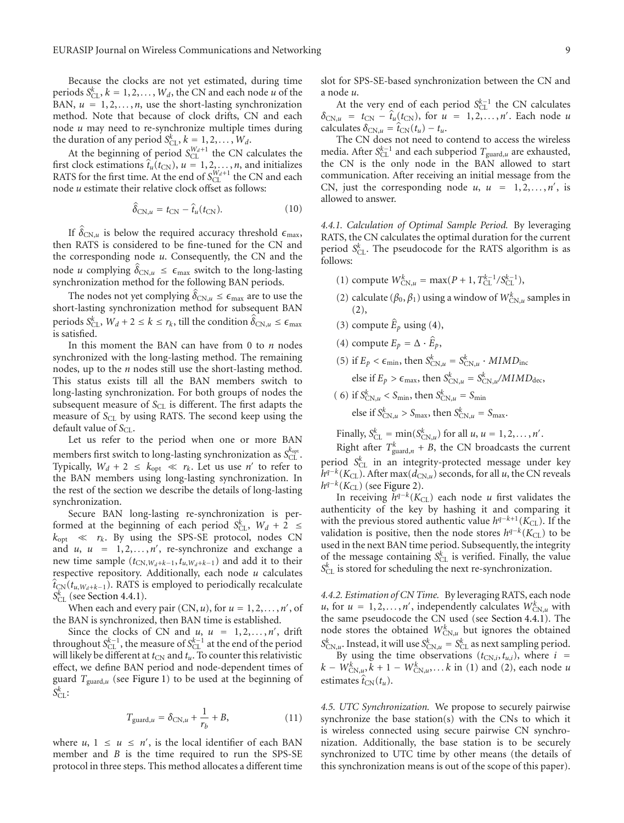Because the clocks are not yet estimated, during time periods  $S_{CL}^k$ ,  $k = 1, 2, ..., W_d$ , the CN and each node *u* of the BAN,  $u = 1, 2, \ldots, n$ , use the short-lasting synchronization method. Note that because of clock drifts, CN and each node *u* may need to re-synchronize multiple times during the duration of any period  $S_{CL}^k$ ,  $k = 1, 2, \ldots, W_d$ .

At the beginning of period  $S_{CL}^{W_d+1}$  the CN calculates the the duration of any period  $S_{CL}^k$ ,  $k = 1, 2, ..., W_d$ .<br>At the beginning of period  $S_{CL}^{W_d+1}$  the CN calculates the first clock estimations  $\hat{t}_u(t_{CN})$ ,  $u = 1, 2, ..., n$ , and initializes RATS for the first time. At the end of  $S_{CL}^{W_d+1}$  the CN and each RATS for the first time. At the end of  $S_{CL}^*$  the CN is node *u* estimate their relative clock offset as follows:<br> $\hat{\delta}_{CN,u} = t_{CN} - \hat{t}_u(t_{CN})$ .

$$
\hat{\delta}_{CN,u} = t_{CN} - \hat{t}_u(t_{CN}). \tag{10}
$$

 $\hat{\delta}_{CN,u} = t_{CN} - \hat{t}_u(t_{CN})$ . (10)<br>If  $\hat{\delta}_{CN,u}$  is below the required accuracy threshold  $\epsilon_{\text{max}}$ , then RATS is considered to be fine-tuned for the CN and the corresponding node *u*. Consequently, the CN and the then RATS is considered to be fine-tuned for the CN and<br>the corresponding node *u*. Consequently, the CN and the<br>node *u* complying  $\hat{\delta}_{CN,u} \leq \epsilon_{max}$  switch to the long-lasting synchronization method for the following BAN periods.

*u* complying  $\hat{\delta}_{CN,u} \leq \epsilon_{max}$  switch to the long-lasting chronization method for the following BAN periods.<br>The nodes not yet complying  $\hat{\delta}_{CN,u} \leq \epsilon_{max}$  are to use the *r*t-lasting synchronization method for subseque short-lasting synchronization method for subsequent BAN periods  $S_{CL}^k$ ,  $W_d + 2 \le k \le r_k$ , till the condition  $\hat{\delta}_{CN,u} \le \epsilon_{\text{max}}$ is satisfied.

In this moment the BAN can have from 0 to *n* nodes synchronized with the long-lasting method. The remaining nodes, up to the *n* nodes still use the short-lasting method. This status exists till all the BAN members switch to long-lasting synchronization. For both groups of nodes the subsequent measure of S<sub>CL</sub> is different. The first adapts the measure of *S<sub>CL</sub>* by using RATS. The second keep using the default value of  $S_{CL}$ .

Let us refer to the period when one or more BAN members first switch to long-lasting synchronization as  $S_{CL}^{k_{opt}}$ . Typically,  $W_d + 2 \leq k_{opt} \ll r_k$ . Let us use *n'* to refer to the BAN members using long-lasting synchronization. In the rest of the section we describe the details of long-lasting synchronization.

Secure BAN long-lasting re-synchronization is performed at the beginning of each period  $S_{CL}^{k}$ ,  $W_d + 2 \leq$  $k_{opt} \ll r_k$ . By using the SPS-SE protocol, nodes CN and  $u, u = 1, 2, ..., n'$ , re-synchronize and exchange a new time sample  $(t_{CN,M_d+k-1}, t_{u,M_d+k-1})$  and add it to their respective repository. Additionally, each node *u* calculates  $\hat{t}_{CN}(t_{u,W_d+k-1})$ . RATS is employed to periodically recalculate  $S_{CL}^{k}$  (see Section 4.4.1).

When each and every pair  $(CN, u)$ , for  $u = 1, 2, ..., n'$ , of the BAN is synchronized, then BAN time is established.

Since the clocks of CN and  $u$ ,  $u = 1, 2, ..., n'$ , drift throughout  $S_{CL}^{k-1}$ , the measure of  $S_{CL}^{k-1}$  at the end of the period will likely be different at  $t_{CN}$  and  $t_u$ . To counter this relativistic effect, we define BAN period and node-dependent times of guard  $T_{\text{guard},u}$  (see Figure 1) to be used at the beginning of  $S^k_{\text{CL}}$ :

$$
T_{\text{guard},u} = \delta_{\text{CN},u} + \frac{1}{r_b} + B,\tag{11}
$$

where *u*,  $1 \le u \le n'$ , is the local identifier of each BAN member and *B* is the time required to run the SPS-SE protocol in three steps. This method allocates a different time

slot for SPS-SE-based synchronization between the CN and a node *u*.

At the very end of each period  $S_{CL}^{k-1}$  the CN calculates  $\delta_{\text{CN},u}$  = *t*<sub>CN</sub> −  $\hat{t}_u(t_{\text{CN}})$ , for  $u = 1, 2, ..., n'$ . Each node *u* At the very end<br>  $\delta_{\text{CN},u} = t_{\text{CN}} - \hat{t}_u$ <br>
calculates  $\delta_{\text{CN},u} = \hat{t}_u$  $\epsilon$ calculates  $\delta_{CN,u} = t_{CN}(t_u) - t_u$ .

The CN does not need to contend to access the wireless media. After *S*<sup>k−1</sup> and each subperiod *T*<sub>guard,*u*</sub> are exhausted, the CN is the only node in the BAN allowed to start communication. After receiving an initial message from the CN, just the corresponding node  $u$ ,  $u = 1, 2, ..., n'$ , is allowed to answer.

*4.4.1. Calculation of Optimal Sample Period.* By leveraging RATS, the CN calculates the optimal duration for the current period  $S_{CL}^k$ . The pseudocode for the RATS algorithm is as follows:

- (1) compute  $W_{\text{CN},u}^k = \max(P + 1, T_{\text{CL}}^{k-1}/S_{\text{CL}}^{k-1}),$
- (2) calculate ( $\beta_0$ ,  $\beta_1$ ) using a window of  $W^k_{\text{CN},u}$  samples in (2), (2) calculate  $(\beta_0, \beta_1)$  using (2),<br>(3) compute  $\hat{E}_p$  using (4),
- 
- (3) compute  $\hat{E}_p$  using (4)<br>(4) compute  $E_p = \Delta \cdot \hat{E}$ (4) compute  $E_p = \Delta \cdot \hat{E}_p$ ,
- (5) if  $E_p < \epsilon_{\min}$ , then  $S_{\text{CN},u}^k = S_{\text{CN},u}^k \cdot MIMD_{\text{inc}}$ else if  $E_p > \epsilon_{\text{max}}$ , then  $S_{\text{CN},u}^k = S_{\text{CN},u}^k / MIMD_{\text{dec}}$ ,
- ( 6) if  $S_{\text{CN},u}^k < S_{\text{min}}$ , then  $S_{\text{CN},u}^k = S_{\text{min}}$ else if  $S_{CN,u}^k > S_{\text{max}}$ , then  $S_{CN,u}^k = S_{\text{max}}$ .

Finally,  $S_{CL}^k = \min(S_{CN,u}^k)$  for all *u*, *u* = 1, 2, ..., *n'*.

Right after  $T_{\text{guard},n}^k + B$ , the CN broadcasts the current period  $S_{CL}^k$  in an integrity-protected message under key  $h^{q-k}(K_{\text{CL}})$ . After max( $d_{\text{CN},u}$ ) seconds, for all *u*, the CN reveals  $h^{q-k}(K_{\text{CL}})$  (see Figure 2).

In receiving  $h^{q-k}(K_{CL})$  each node *u* first validates the authenticity of the key by hashing it and comparing it with the previous stored authentic value  $h^{q-k+1}(K_{\text{CL}})$ . If the validation is positive, then the node stores  $h^{q-k}(K_{\text{CL}})$  to be used in the next BAN time period. Subsequently, the integrity of the message containing  $S_{CL}^k$  is verified. Finally, the value  $S_{CL}^k$  is stored for scheduling the next re-synchronization.

*4.4.2. Estimation of CN Time.* By leveraging RATS, each node *u*, for  $u = 1, 2, \ldots, n'$ , independently calculates  $W_{CN,u}^k$  with the same pseudocode the CN used (see Section 4.4.1). The node stores the obtained  $W_{\text{CN},u}^k$  but ignores the obtained  $S_{\text{CN},u}^k$ . Instead, it will use  $S_{\text{CN},u}^k = S_{\text{CL}}^k$  as next sampling period. By using the time observations  $(t_{CN,i}, t_{u,i})$ , where  $i =$  $k - W_{\text{CN},u}^k$ ,  $k + 1 - W_{\text{CN},u}^k$ , *...k* in (1) and (2), each node *u* By usin<br>  $k - W_{CN,u}^k$ <br>
estimates  $\hat{t}_k$ estimates  $\hat{t}_{CN}(t_u)$ .

*4.5. UTC Synchronization.* We propose to securely pairwise synchronize the base station(s) with the CNs to which it is wireless connected using secure pairwise CN synchronization. Additionally, the base station is to be securely synchronized to UTC time by other means (the details of this synchronization means is out of the scope of this paper).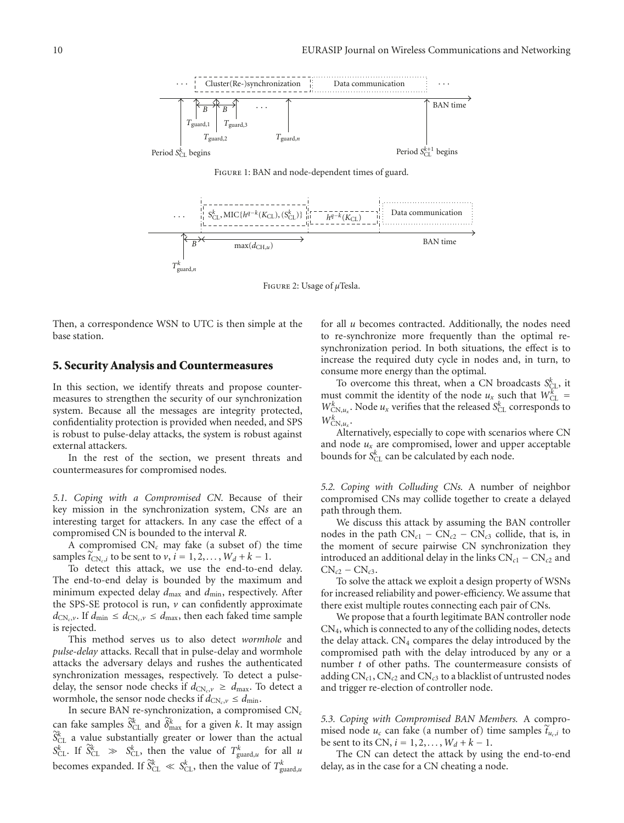

Figure 1: BAN and node-dependent times of guard.



Figure 2: Usage of *μ*Tesla.

Then, a correspondence WSN to UTC is then simple at the base station.

#### **5. Security Analysis and Countermeasures**

In this section, we identify threats and propose countermeasures to strengthen the security of our synchronization system. Because all the messages are integrity protected, confidentiality protection is provided when needed, and SPS is robust to pulse-delay attacks, the system is robust against external attackers.

In the rest of the section, we present threats and countermeasures for compromised nodes.

*5.1. Coping with a Compromised CN.* Because of their key mission in the synchronization system, CN*s* are an interesting target for attackers. In any case the effect of a compromised CN is bounded to the interval *R*.

A compromised  $CN_c$  may fake (a subset of) the time samples  $\tilde{t}_{CN_c,i}$  to be sent to *v*,  $i = 1, 2, ..., W_d + k - 1$ .

To detect this attack, we use the end-to-end delay. The end-to-end delay is bounded by the maximum and minimum expected delay  $d_{\text{max}}$  and  $d_{\text{min}}$ , respectively. After the SPS-SE protocol is run,  $\nu$  can confidently approximate  $d_{CN_c,v}$ . If  $d_{\min} \leq d_{CN_c,v} \leq d_{\max}$ , then each faked time sample is rejected.

This method serves us to also detect *wormhole* and *pulse-delay* attacks. Recall that in pulse-delay and wormhole attacks the adversary delays and rushes the authenticated synchronization messages, respectively. To detect a pulsedelay, the sensor node checks if  $d_{CN_c, v} \geq d_{\text{max}}$ . To detect a wormhole, the sensor node checks if  $d_{CN_c}$ ,  $\leq d_{min}$ .

In secure BAN re-synchronization, a compromised CN*<sup>c</sup>* wormhole, the sensor node checks if  $d_{CN_c, v} \leq d_{min}$ .<br>In secure BAN re-synchronization, a compromised CN<sub>c</sub><br>can fake samples  $\tilde{S}_{CL}^k$  and  $\tilde{\delta}_{max}^k$  for a given *k*. It may assign  $\widetilde{S}_{CL}^{k}$  a value substantially greater or lower than the actual  $S_{CL}^k$ . If  $\widetilde{S}_{CL}^k \gg S_{CL}^k$ , then the value of  $T_{\text{guard},u}^k$  for all *u* becomes expanded. If  $\widetilde{S}_{CL}^k \ll S_{CL}^k$ , then the value of  $T_{\text{guard},u}^k$  $\overline{1}$ 

for all *u* becomes contracted. Additionally, the nodes need to re-synchronize more frequently than the optimal resynchronization period. In both situations, the effect is to increase the required duty cycle in nodes and, in turn, to consume more energy than the optimal.

To overcome this threat, when a CN broadcasts  $S_{CL}^{k}$ , it must commit the identity of the node  $u_x$  such that  $W_{CL}^{\mu}$  $W_{\text{CN},u_x}^k$ . Node  $u_x$  verifies that the released  $S_{\text{CL}}^k$  corresponds to  $W_{\text{CN},u_x}^{\tilde{k}}$ .

Alternatively, especially to cope with scenarios where CN and node  $u_x$  are compromised, lower and upper acceptable bounds for  $S_{CL}^k$  can be calculated by each node.

*5.2. Coping with Colluding CNs.* A number of neighbor compromised CNs may collide together to create a delayed path through them.

We discuss this attack by assuming the BAN controller nodes in the path  $CN<sub>c1</sub> - CN<sub>c2</sub> - CN<sub>c3</sub>$  collide, that is, in the moment of secure pairwise CN synchronization they introduced an additional delay in the links  $CN<sub>c1</sub> - CN<sub>c2</sub>$  and  $CN_{c2} - CN_{c3}$ .

To solve the attack we exploit a design property of WSNs for increased reliability and power-efficiency. We assume that there exist multiple routes connecting each pair of CNs.

We propose that a fourth legitimate BAN controller node CN4, which is connected to any of the colliding nodes, detects the delay attack. CN<sub>4</sub> compares the delay introduced by the compromised path with the delay introduced by any or a number *t* of other paths. The countermeasure consists of adding  $CN_{c1}$ ,  $CN_{c2}$  and  $CN_{c3}$  to a blacklist of untrusted nodes and trigger re-election of controller node.

*5.3. Coping with Compromised BAN Members.* A compro-5.3. *Coping with Compromised BAN Members.* A compromised node  $u_c$  can fake (a number of) time samples  $\tilde{t}_{u_c,i}$  to mised node  $u_c$  can fake (a number of) time samples  $\tilde{t}_{u_c,i}$  to be sent to its CN,  $i = 1, 2, ..., W_d + k - 1$ .

The CN can detect the attack by using the end-to-end delay, as in the case for a CN cheating a node.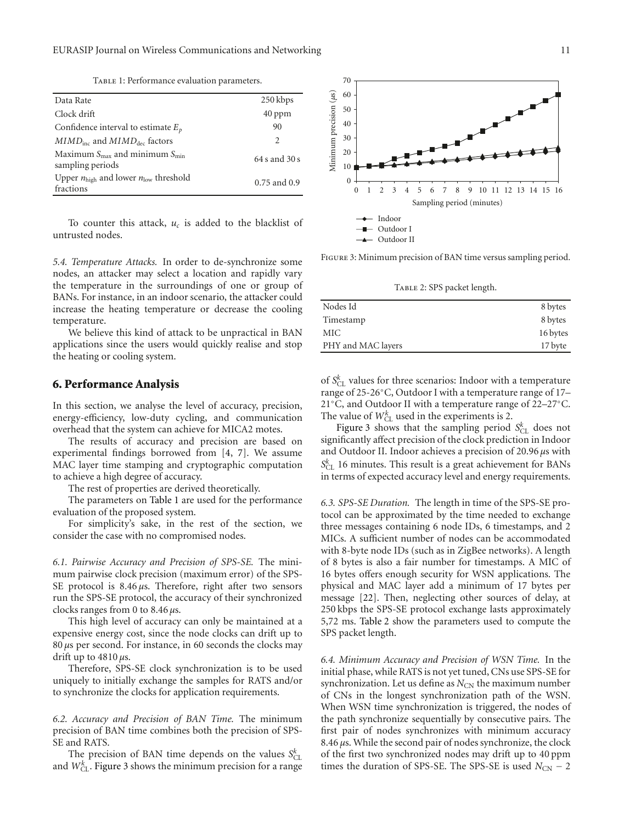TABLE 1: Performance evaluation parameters.

| Data Rate                                                                 | 250 kbps          |
|---------------------------------------------------------------------------|-------------------|
| Clock drift                                                               | $40$ ppm          |
| Confidence interval to estimate $E_n$                                     | 90                |
| $MIMDinc$ and $MIMDdec$ factors                                           | 2                 |
| Maximum $S_{\text{max}}$ and minimum $S_{\text{min}}$<br>sampling periods | $64 s$ and $30 s$ |
| Upper $n_{\text{high}}$ and lower $n_{\text{low}}$ threshold<br>fractions | $0.75$ and $0.9$  |

To counter this attack,  $u_c$  is added to the blacklist of untrusted nodes.

*5.4. Temperature Attacks.* In order to de-synchronize some nodes, an attacker may select a location and rapidly vary the temperature in the surroundings of one or group of BANs. For instance, in an indoor scenario, the attacker could increase the heating temperature or decrease the cooling temperature.

We believe this kind of attack to be unpractical in BAN applications since the users would quickly realise and stop the heating or cooling system.

#### **6. Performance Analysis**

In this section, we analyse the level of accuracy, precision, energy-efficiency, low-duty cycling, and communication overhead that the system can achieve for MICA2 motes.

The results of accuracy and precision are based on experimental findings borrowed from [4, 7]. We assume MAC layer time stamping and cryptographic computation to achieve a high degree of accuracy.

The rest of properties are derived theoretically.

The parameters on Table 1 are used for the performance evaluation of the proposed system.

For simplicity's sake, in the rest of the section, we consider the case with no compromised nodes.

*6.1. Pairwise Accuracy and Precision of SPS-SE.* The minimum pairwise clock precision (maximum error) of the SPS-SE protocol is 8.46 *μ*s. Therefore, right after two sensors run the SPS-SE protocol, the accuracy of their synchronized clocks ranges from 0 to 8.46 *μ*s.

This high level of accuracy can only be maintained at a expensive energy cost, since the node clocks can drift up to 80 *μ*s per second. For instance, in 60 seconds the clocks may drift up to 4810 *μ*s.

Therefore, SPS-SE clock synchronization is to be used uniquely to initially exchange the samples for RATS and/or to synchronize the clocks for application requirements.

*6.2. Accuracy and Precision of BAN Time.* The minimum precision of BAN time combines both the precision of SPS-SE and RATS.

The precision of BAN time depends on the values  $S_{CL}^k$ and  $W_{CL}^{\overline{k}}$ . Figure 3 shows the minimum precision for a range



Figure 3: Minimum precision of BAN time versus sampling period.

Table 2: SPS packet length.

| Nodes Id           | 8 bytes  |
|--------------------|----------|
| Timestamp          | 8 bytes  |
| MIC                | 16 bytes |
| PHY and MAC layers | 17 byte  |

of  $S_{\rm CL}^k$  values for three scenarios: Indoor with a temperature range of 25-26◦C, Outdoor I with a temperature range of 17– 21◦C, and Outdoor II with a temperature range of 22–27◦C. The value of  $W_{CL}^k$  used in the experiments is 2.

Figure 3 shows that the sampling period  $S_{CL}^{k}$  does not significantly affect precision of the clock prediction in Indoor and Outdoor II. Indoor achieves a precision of 20.96 *μ*s with *Sk* CL 16 minutes. This result is a great achievement for BANs in terms of expected accuracy level and energy requirements.

*6.3. SPS-SE Duration.* The length in time of the SPS-SE protocol can be approximated by the time needed to exchange three messages containing 6 node IDs, 6 timestamps, and 2 MICs. A sufficient number of nodes can be accommodated with 8-byte node IDs (such as in ZigBee networks). A length of 8 bytes is also a fair number for timestamps. A MIC of 16 bytes offers enough security for WSN applications. The physical and MAC layer add a minimum of 17 bytes per message [22]. Then, neglecting other sources of delay, at 250 kbps the SPS-SE protocol exchange lasts approximately 5,72 ms. Table 2 show the parameters used to compute the SPS packet length.

*6.4. Minimum Accuracy and Precision of WSN Time.* In the initial phase, while RATS is not yet tuned, CNs use SPS-SE for synchronization. Let us define as  $N_{CN}$  the maximum number of CNs in the longest synchronization path of the WSN. When WSN time synchronization is triggered, the nodes of the path synchronize sequentially by consecutive pairs. The first pair of nodes synchronizes with minimum accuracy 8.46 *μ*s. While the second pair of nodes synchronize, the clock of the first two synchronized nodes may drift up to 40 ppm times the duration of SPS-SE. The SPS-SE is used  $N_{CN}$  – 2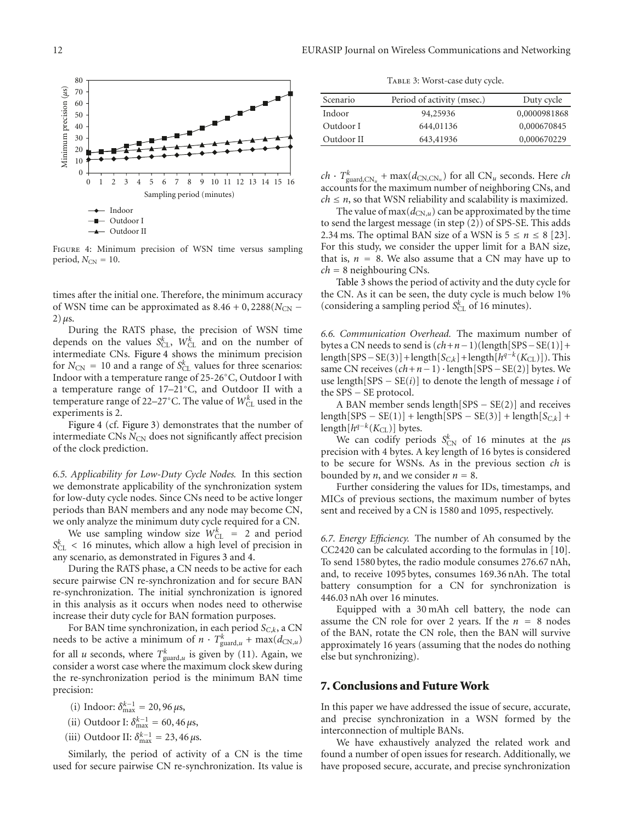

Figure 4: Minimum precision of WSN time versus sampling period,  $N_{CN} = 10$ .

times after the initial one. Therefore, the minimum accuracy of WSN time can be approximated as  $8.46 + 0$ ,  $2288(N_{CN} 2) \mu s$ .

During the RATS phase, the precision of WSN time depends on the values  $S_{CL}^k$ ,  $W_{CL}^k$  and on the number of intermediate CNs. Figure 4 shows the minimum precision for  $N_{\text{CN}} = 10$  and a range of  $S_{\text{CL}}^k$  values for three scenarios: Indoor with a temperature range of 25-26◦C, Outdoor I with a temperature range of 17–21◦C, and Outdoor II with a temperature range of 22–27 $^{\circ}$ C. The value of  $W_{CL}^{k}$  used in the experiments is 2.

Figure 4 (cf. Figure 3) demonstrates that the number of intermediate CNs N<sub>CN</sub> does not significantly affect precision of the clock prediction.

*6.5. Applicability for Low-Duty Cycle Nodes.* In this section we demonstrate applicability of the synchronization system for low-duty cycle nodes. Since CNs need to be active longer periods than BAN members and any node may become CN, we only analyze the minimum duty cycle required for a CN.

We use sampling window size  $W_{CL}^k = 2$  and period  $S_{CL}^k$  < 16 minutes, which allow a high level of precision in any scenario, as demonstrated in Figures 3 and 4.

During the RATS phase, a CN needs to be active for each secure pairwise CN re-synchronization and for secure BAN re-synchronization. The initial synchronization is ignored in this analysis as it occurs when nodes need to otherwise increase their duty cycle for BAN formation purposes.

For BAN time synchronization, in each period  $S_{C,k}$ , a CN needs to be active a minimum of  $n \cdot T_{\text{guard},u}^k + \max(d_{\text{CN},u})$ for all *u* seconds, where  $T_{\text{guard},u}^k$  is given by (11). Again, we consider a worst case where the maximum clock skew during the re-synchronization period is the minimum BAN time precision:

(i) Indoor:  $\delta_{\max}^{k-1} = 20,96 \,\mu s$ ,

(ii) Outdoor I:  $\delta_{\text{max}}^{k-1} = 60, 46 \,\mu s$ ,

(iii) Outdoor II:  $\delta_{\text{max}}^{k-1} = 23,46 \,\mu s.$ 

Similarly, the period of activity of a CN is the time used for secure pairwise CN re-synchronization. Its value is

TABLE 3: Worst-case duty cycle.

| Scenario   | Period of activity (msec.) | Duty cycle   |
|------------|----------------------------|--------------|
| Indoor     | 94,25936                   | 0,0000981868 |
| Outdoor I  | 644,01136                  | 0,000670845  |
| Outdoor II | 643,41936                  | 0,000670229  |
|            |                            |              |

 $ch \cdot T_{\text{guard,CN}_u}^k + \max(d_{\text{CN,CN}_u})$  for all  $\text{CN}_u$  seconds. Here *ch* accounts for the maximum number of neighboring CNs, and  $ch \le n$ , so that WSN reliability and scalability is maximized.

The value of max $(d_{CN,u})$  can be approximated by the time to send the largest message (in step (2)) of SPS-SE. This adds 2.34 ms. The optimal BAN size of a WSN is  $5 \le n \le 8$  [23]. For this study, we consider the upper limit for a BAN size, that is,  $n = 8$ . We also assume that a CN may have up to *ch* <sup>=</sup> 8 neighbouring CNs.

Table 3 shows the period of activity and the duty cycle for the CN. As it can be seen, the duty cycle is much below 1% (considering a sampling period  $S_{CL}^{k'}$  of 16 minutes).

*6.6. Communication Overhead.* The maximum number of bytes a CN needs to send is  $(ch+n-1)(length[SPS-SE(1)] +$ length[SPS−SE(3)]+length[ $S_{C,k}$ ]+length[ $h^{q-k}(K_{CL})$ ]). This same CN receives (*ch*+*n*−1) · length[SPS−SE(2)] bytes. We use length $[SPS - SE(i)]$  to denote the length of message *i* of the SPS − SE protocol.

A BAN member sends length[SPS − SE(2)] and receives  $\text{length}[SPS - SE(1)] + \text{length}[SPS - SE(3)] + \text{length}[S_{C,k}] +$ length $[h^{q-k}(K_{\text{CL}})]$  bytes.

We can codify periods  $S_{CN}^k$  of 16 minutes at the  $\mu$ s precision with 4 bytes. A key length of 16 bytes is considered to be secure for WSNs. As in the previous section *ch* is bounded by *n*, and we consider  $n = 8$ .

Further considering the values for IDs, timestamps, and MICs of previous sections, the maximum number of bytes sent and received by a CN is 1580 and 1095, respectively.

*6.7. Energy Efficiency.* The number of Ah consumed by the CC2420 can be calculated according to the formulas in [10]. To send 1580 bytes, the radio module consumes 276.67 nAh, and, to receive 1095 bytes, consumes 169.36 nAh. The total battery consumption for a CN for synchronization is 446.03 nAh over 16 minutes.

Equipped with a 30 mAh cell battery, the node can assume the CN role for over 2 years. If the  $n = 8$  nodes of the BAN, rotate the CN role, then the BAN will survive approximately 16 years (assuming that the nodes do nothing else but synchronizing).

#### **7. Conclusions and Future Work**

In this paper we have addressed the issue of secure, accurate, and precise synchronization in a WSN formed by the interconnection of multiple BANs.

We have exhaustively analyzed the related work and found a number of open issues for research. Additionally, we have proposed secure, accurate, and precise synchronization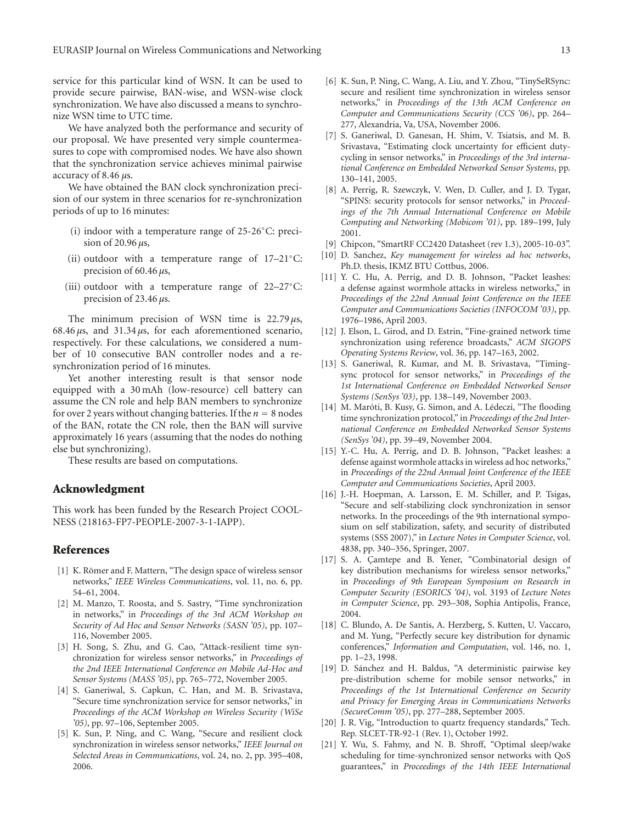service for this particular kind of WSN. It can be used to provide secure pairwise, BAN-wise, and WSN-wise clock synchronization. We have also discussed a means to synchronize WSN time to UTC time.

We have analyzed both the performance and security of our proposal. We have presented very simple countermeasures to cope with compromised nodes. We have also shown that the synchronization service achieves minimal pairwise accuracy of 8.46 *μ*s.

We have obtained the BAN clock synchronization precision of our system in three scenarios for re-synchronization periods of up to 16 minutes:

- (i) indoor with a temperature range of 25-26◦C: precision of 20.96 *μ*s,
- (ii) outdoor with a temperature range of 17–21◦C: precision of 60.46 *μ*s,
- (iii) outdoor with a temperature range of 22–27◦C: precision of 23.46 *μ*s.

The minimum precision of WSN time is 22.79 *μ*s, 68.46 *μ*s, and 31.34 *μ*s, for each aforementioned scenario, respectively. For these calculations, we considered a number of 10 consecutive BAN controller nodes and a resynchronization period of 16 minutes.

Yet another interesting result is that sensor node equipped with a 30 mAh (low-resource) cell battery can assume the CN role and help BAN members to synchronize for over 2 years without changing batteries. If the  $n = 8$  nodes of the BAN, rotate the CN role, then the BAN will survive approximately 16 years (assuming that the nodes do nothing else but synchronizing).

These results are based on computations.

#### **Acknowledgment**

This work has been funded by the Research Project COOL-NESS (218163-FP7-PEOPLE-2007-3-1-IAPP).

#### **References**

- [1] K. Römer and F. Mattern, "The design space of wireless sensor networks," *IEEE Wireless Communications*, vol. 11, no. 6, pp. 54–61, 2004.
- [2] M. Manzo, T. Roosta, and S. Sastry, "Time synchronization in networks," in *Proceedings of the 3rd ACM Workshop on Security of Ad Hoc and Sensor Networks (SASN '05)*, pp. 107– 116, November 2005.
- [3] H. Song, S. Zhu, and G. Cao, "Attack-resilient time synchronization for wireless sensor networks," in *Proceedings of the 2nd IEEE International Conference on Mobile Ad-Hoc and Sensor Systems (MASS '05)*, pp. 765–772, November 2005.
- [4] S. Ganeriwal, S. Capkun, C. Han, and M. B. Srivastava, "Secure time synchronization service for sensor networks," in *Proceedings of the ACM Workshop on Wireless Security (WiSe '05)*, pp. 97–106, September 2005.
- [5] K. Sun, P. Ning, and C. Wang, "Secure and resilient clock synchronization in wireless sensor networks," *IEEE Journal on Selected Areas in Communications*, vol. 24, no. 2, pp. 395–408, 2006.
- [6] K. Sun, P. Ning, C. Wang, A. Liu, and Y. Zhou, "TinySeRSync: secure and resilient time synchronization in wireless sensor networks," in *Proceedings of the 13th ACM Conference on Computer and Communications Security (CCS '06)*, pp. 264– 277, Alexandria, Va, USA, November 2006.
- [7] S. Ganeriwal, D. Ganesan, H. Shim, V. Tsiatsis, and M. B. Srivastava, "Estimating clock uncertainty for efficient dutycycling in sensor networks," in *Proceedings of the 3rd international Conference on Embedded Networked Sensor Systems*, pp. 130–141, 2005.
- [8] A. Perrig, R. Szewczyk, V. Wen, D. Culler, and J. D. Tygar, "SPINS: security protocols for sensor networks," in *Proceedings of the 7th Annual International Conference on Mobile Computing and Networking (Mobicom '01)*, pp. 189–199, July 2001.
- [9] Chipcon, "SmartRF CC2420 Datasheet (rev 1.3), 2005-10-03".
- [10] D. Sanchez, *Key management for wireless ad hoc networks*, Ph.D. thesis, IKMZ BTU Cottbus, 2006.
- [11] Y. C. Hu, A. Perrig, and D. B. Johnson, "Packet leashes: a defense against wormhole attacks in wireless networks," in *Proceedings of the 22nd Annual Joint Conference on the IEEE Computer and Communications Societies (INFOCOM '03)*, pp. 1976–1986, April 2003.
- [12] J. Elson, L. Girod, and D. Estrin, "Fine-grained network time synchronization using reference broadcasts," *ACM SIGOPS Operating Systems Review*, vol. 36, pp. 147–163, 2002.
- [13] S. Ganeriwal, R. Kumar, and M. B. Srivastava, "Timingsync protocol for sensor networks," in *Proceedings of the 1st International Conference on Embedded Networked Sensor Systems (SenSys '03)*, pp. 138–149, November 2003.
- [14] M. Maróti, B. Kusy, G. Simon, and A. Lédeczi, "The flooding time synchronization protocol," in *Proceedings of the 2nd International Conference on Embedded Networked Sensor Systems (SenSys '04)*, pp. 39–49, November 2004.
- [15] Y.-C. Hu, A. Perrig, and D. B. Johnson, "Packet leashes: a defense against wormhole attacks in wireless ad hoc networks," in *Proceedings of the 22nd Annual Joint Conference of the IEEE Computer and Communications Societies*, April 2003.
- [16] J.-H. Hoepman, A. Larsson, E. M. Schiller, and P. Tsigas, "Secure and self-stabilizing clock synchronization in sensor networks. In the proceedings of the 9th international symposium on self stabilization, safety, and security of distributed systems (SSS 2007)," in *Lecture Notes in Computer Science*, vol. 4838, pp. 340–356, Springer, 2007.
- [17] S. A. Çamtepe and B. Yener, "Combinatorial design of key distribution mechanisms for wireless sensor networks," in *Proceedings of 9th European Symposium on Research in Computer Security (ESORICS '04)*, vol. 3193 of *Lecture Notes in Computer Science*, pp. 293–308, Sophia Antipolis, France, 2004.
- [18] C. Blundo, A. De Santis, A. Herzberg, S. Kutten, U. Vaccaro, and M. Yung, "Perfectly secure key distribution for dynamic conferences," *Information and Computation*, vol. 146, no. 1, pp. 1–23, 1998.
- [19] D. Sánchez and H. Baldus, "A deterministic pairwise key pre-distribution scheme for mobile sensor networks," in *Proceedings of the 1st International Conference on Security and Privacy for Emerging Areas in Communications Networks (SecureComm '05)*, pp. 277–288, September 2005.
- [20] J. R. Vig, "Introduction to quartz frequency standards," Tech. Rep. SLCET-TR-92-1 (Rev. 1), October 1992.
- [21] Y. Wu, S. Fahmy, and N. B. Shroff, "Optimal sleep/wake scheduling for time-synchronized sensor networks with QoS guarantees," in *Proceedings of the 14th IEEE International*